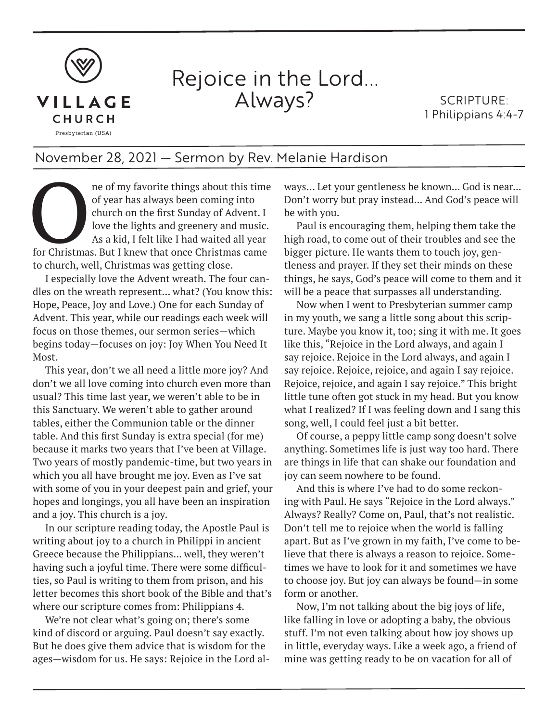

## Rejoice in the Lord... Always?

SCRIPTURE: 1 Philippians 4:4-7

## November 28, 2021 — Sermon by Rev. Melanie Hardison

ne of my favorite things about this time<br>of year has always been coming into<br>church on the first Sunday of Advent. I<br>love the lights and greenery and music.<br>As a kid, I felt like I had waited all year<br>for Christmas. But I of year has always been coming into church on the first Sunday of Advent. I love the lights and greenery and music. As a kid, I felt like I had waited all year to church, well, Christmas was getting close.

I especially love the Advent wreath. The four candles on the wreath represent... what? (You know this: Hope, Peace, Joy and Love.) One for each Sunday of Advent. This year, while our readings each week will focus on those themes, our sermon series—which begins today—focuses on joy: Joy When You Need It Most.

This year, don't we all need a little more joy? And don't we all love coming into church even more than usual? This time last year, we weren't able to be in this Sanctuary. We weren't able to gather around tables, either the Communion table or the dinner table. And this first Sunday is extra special (for me) because it marks two years that I've been at Village. Two years of mostly pandemic-time, but two years in which you all have brought me joy. Even as I've sat with some of you in your deepest pain and grief, your hopes and longings, you all have been an inspiration and a joy. This church is a joy.

In our scripture reading today, the Apostle Paul is writing about joy to a church in Philippi in ancient Greece because the Philippians... well, they weren't having such a joyful time. There were some difficulties, so Paul is writing to them from prison, and his letter becomes this short book of the Bible and that's where our scripture comes from: Philippians 4.

We're not clear what's going on; there's some kind of discord or arguing. Paul doesn't say exactly. But he does give them advice that is wisdom for the ages—wisdom for us. He says: Rejoice in the Lord always… Let your gentleness be known... God is near... Don't worry but pray instead... And God's peace will be with you.

Paul is encouraging them, helping them take the high road, to come out of their troubles and see the bigger picture. He wants them to touch joy, gentleness and prayer. If they set their minds on these things, he says, God's peace will come to them and it will be a peace that surpasses all understanding.

Now when I went to Presbyterian summer camp in my youth, we sang a little song about this scripture. Maybe you know it, too; sing it with me. It goes like this, "Rejoice in the Lord always, and again I say rejoice. Rejoice in the Lord always, and again I say rejoice. Rejoice, rejoice, and again I say rejoice. Rejoice, rejoice, and again I say rejoice." This bright little tune often got stuck in my head. But you know what I realized? If I was feeling down and I sang this song, well, I could feel just a bit better.

Of course, a peppy little camp song doesn't solve anything. Sometimes life is just way too hard. There are things in life that can shake our foundation and joy can seem nowhere to be found.

And this is where I've had to do some reckoning with Paul. He says "Rejoice in the Lord always." Always? Really? Come on, Paul, that's not realistic. Don't tell me to rejoice when the world is falling apart. But as I've grown in my faith, I've come to believe that there is always a reason to rejoice. Sometimes we have to look for it and sometimes we have to choose joy. But joy can always be found—in some form or another.

Now, I'm not talking about the big joys of life, like falling in love or adopting a baby, the obvious stuff. I'm not even talking about how joy shows up in little, everyday ways. Like a week ago, a friend of mine was getting ready to be on vacation for all of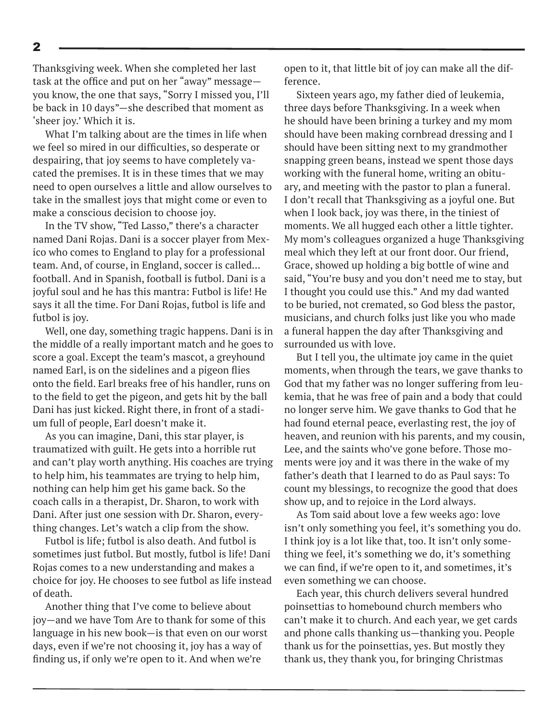Thanksgiving week. When she completed her last task at the office and put on her "away" message you know, the one that says, "Sorry I missed you, I'll be back in 10 days"—she described that moment as 'sheer joy.' Which it is.

What I'm talking about are the times in life when we feel so mired in our difficulties, so desperate or despairing, that joy seems to have completely vacated the premises. It is in these times that we may need to open ourselves a little and allow ourselves to take in the smallest joys that might come or even to make a conscious decision to choose joy.

In the TV show, "Ted Lasso," there's a character named Dani Rojas. Dani is a soccer player from Mexico who comes to England to play for a professional team. And, of course, in England, soccer is called... football. And in Spanish, football is futbol. Dani is a joyful soul and he has this mantra: Futbol is life! He says it all the time. For Dani Rojas, futbol is life and futbol is joy.

Well, one day, something tragic happens. Dani is in the middle of a really important match and he goes to score a goal. Except the team's mascot, a greyhound named Earl, is on the sidelines and a pigeon flies onto the field. Earl breaks free of his handler, runs on to the field to get the pigeon, and gets hit by the ball Dani has just kicked. Right there, in front of a stadium full of people, Earl doesn't make it.

As you can imagine, Dani, this star player, is traumatized with guilt. He gets into a horrible rut and can't play worth anything. His coaches are trying to help him, his teammates are trying to help him, nothing can help him get his game back. So the coach calls in a therapist, Dr. Sharon, to work with Dani. After just one session with Dr. Sharon, everything changes. Let's watch a clip from the show.

Futbol is life; futbol is also death. And futbol is sometimes just futbol. But mostly, futbol is life! Dani Rojas comes to a new understanding and makes a choice for joy. He chooses to see futbol as life instead of death.

Another thing that I've come to believe about joy—and we have Tom Are to thank for some of this language in his new book—is that even on our worst days, even if we're not choosing it, joy has a way of finding us, if only we're open to it. And when we're

open to it, that little bit of joy can make all the difference.

Sixteen years ago, my father died of leukemia, three days before Thanksgiving. In a week when he should have been brining a turkey and my mom should have been making cornbread dressing and I should have been sitting next to my grandmother snapping green beans, instead we spent those days working with the funeral home, writing an obituary, and meeting with the pastor to plan a funeral. I don't recall that Thanksgiving as a joyful one. But when I look back, joy was there, in the tiniest of moments. We all hugged each other a little tighter. My mom's colleagues organized a huge Thanksgiving meal which they left at our front door. Our friend, Grace, showed up holding a big bottle of wine and said, "You're busy and you don't need me to stay, but I thought you could use this." And my dad wanted to be buried, not cremated, so God bless the pastor, musicians, and church folks just like you who made a funeral happen the day after Thanksgiving and surrounded us with love.

But I tell you, the ultimate joy came in the quiet moments, when through the tears, we gave thanks to God that my father was no longer suffering from leukemia, that he was free of pain and a body that could no longer serve him. We gave thanks to God that he had found eternal peace, everlasting rest, the joy of heaven, and reunion with his parents, and my cousin, Lee, and the saints who've gone before. Those moments were joy and it was there in the wake of my father's death that I learned to do as Paul says: To count my blessings, to recognize the good that does show up, and to rejoice in the Lord always.

As Tom said about love a few weeks ago: love isn't only something you feel, it's something you do. I think joy is a lot like that, too. It isn't only something we feel, it's something we do, it's something we can find, if we're open to it, and sometimes, it's even something we can choose.

Each year, this church delivers several hundred poinsettias to homebound church members who can't make it to church. And each year, we get cards and phone calls thanking us—thanking you. People thank us for the poinsettias, yes. But mostly they thank us, they thank you, for bringing Christmas